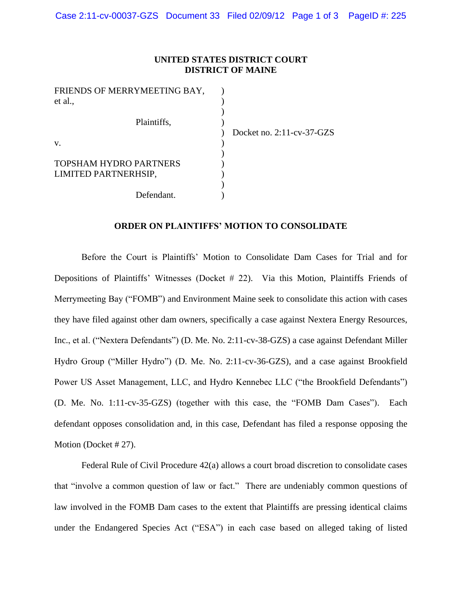## **UNITED STATES DISTRICT COURT DISTRICT OF MAINE**

| FRIENDS OF MERRYMEETING BAY,  |                              |
|-------------------------------|------------------------------|
| et al.,                       |                              |
|                               |                              |
| Plaintiffs,                   |                              |
|                               | Docket no. $2:11$ -cv-37-GZS |
| V.                            |                              |
|                               |                              |
| <b>TOPSHAM HYDRO PARTNERS</b> |                              |
| LIMITED PARTNERHSIP,          |                              |
|                               |                              |
| Defendant.                    |                              |

## **ORDER ON PLAINTIFFS' MOTION TO CONSOLIDATE**

Before the Court is Plaintiffs' Motion to Consolidate Dam Cases for Trial and for Depositions of Plaintiffs' Witnesses (Docket # 22). Via this Motion, Plaintiffs Friends of Merrymeeting Bay ("FOMB") and Environment Maine seek to consolidate this action with cases they have filed against other dam owners, specifically a case against Nextera Energy Resources, Inc., et al. ("Nextera Defendants") (D. Me. No. 2:11-cv-38-GZS) a case against Defendant Miller Hydro Group ("Miller Hydro") (D. Me. No. 2:11-cv-36-GZS), and a case against Brookfield Power US Asset Management, LLC, and Hydro Kennebec LLC ("the Brookfield Defendants") (D. Me. No. 1:11-cv-35-GZS) (together with this case, the "FOMB Dam Cases"). Each defendant opposes consolidation and, in this case, Defendant has filed a response opposing the Motion (Docket # 27).

Federal Rule of Civil Procedure 42(a) allows a court broad discretion to consolidate cases that "involve a common question of law or fact." There are undeniably common questions of law involved in the FOMB Dam cases to the extent that Plaintiffs are pressing identical claims under the Endangered Species Act ("ESA") in each case based on alleged taking of listed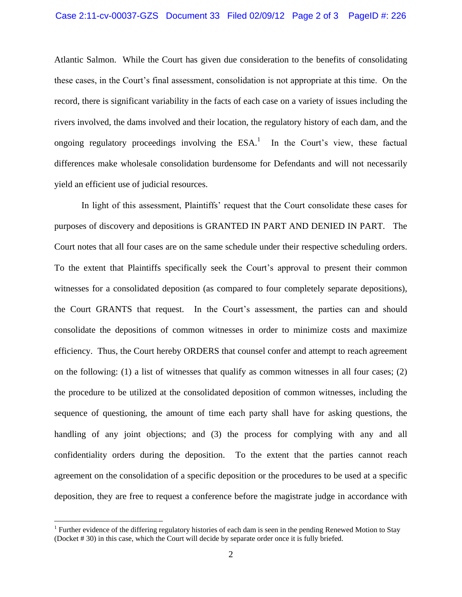Atlantic Salmon. While the Court has given due consideration to the benefits of consolidating these cases, in the Court's final assessment, consolidation is not appropriate at this time. On the record, there is significant variability in the facts of each case on a variety of issues including the rivers involved, the dams involved and their location, the regulatory history of each dam, and the ongoing regulatory proceedings involving the  $ESA<sup>1</sup>$ . In the Court's view, these factual differences make wholesale consolidation burdensome for Defendants and will not necessarily yield an efficient use of judicial resources.

In light of this assessment, Plaintiffs' request that the Court consolidate these cases for purposes of discovery and depositions is GRANTED IN PART AND DENIED IN PART. The Court notes that all four cases are on the same schedule under their respective scheduling orders. To the extent that Plaintiffs specifically seek the Court's approval to present their common witnesses for a consolidated deposition (as compared to four completely separate depositions), the Court GRANTS that request. In the Court's assessment, the parties can and should consolidate the depositions of common witnesses in order to minimize costs and maximize efficiency. Thus, the Court hereby ORDERS that counsel confer and attempt to reach agreement on the following: (1) a list of witnesses that qualify as common witnesses in all four cases; (2) the procedure to be utilized at the consolidated deposition of common witnesses, including the sequence of questioning, the amount of time each party shall have for asking questions, the handling of any joint objections; and (3) the process for complying with any and all confidentiality orders during the deposition. To the extent that the parties cannot reach agreement on the consolidation of a specific deposition or the procedures to be used at a specific deposition, they are free to request a conference before the magistrate judge in accordance with

 $\overline{a}$ 

<sup>&</sup>lt;sup>1</sup> Further evidence of the differing regulatory histories of each dam is seen in the pending Renewed Motion to Stay (Docket # 30) in this case, which the Court will decide by separate order once it is fully briefed.